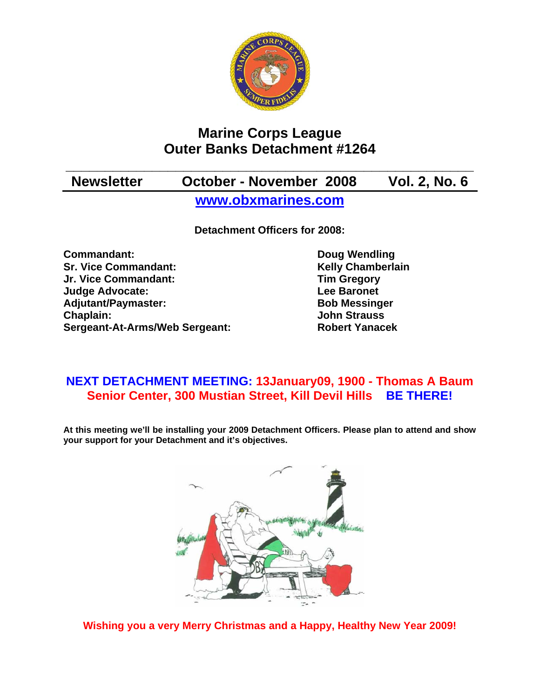

## **Marine Corps League Outer Banks Detachment #1264**

## **\_\_\_\_\_\_\_\_\_\_\_\_\_\_\_\_\_\_\_\_\_\_\_\_\_\_\_\_\_\_\_\_\_\_\_\_\_\_\_\_\_\_\_\_\_\_\_\_\_\_\_\_ Newsletter October - November 2008 Vol. 2, No. 6 [www.obxmarines.com](http://www.obxmarines.com/)**

**Detachment Officers for 2008:** 

**Commandant:** Doug Wendling **Sr. Vice Commandant:** Kelly Chamberlain **Jr. Vice Commandant: Tim Gregory Judge Advocate:** The Contract Contract Lee Baronet Adjutant/Paymaster: Bob Messinger **Chaplain: John Strauss Sergeant-At-Arms/Web Sergeant: Robert Yanacek**

## **NEXT DETACHMENT MEETING: 13January09, 1900 - Thomas A Baum Senior Center, 300 Mustian Street, Kill Devil Hills BE THERE!**

**At this meeting we'll be installing your 2009 Detachment Officers. Please plan to attend and show your support for your Detachment and it's objectives.** 



**Wishing you a very Merry Christmas and a Happy, Healthy New Year 2009!**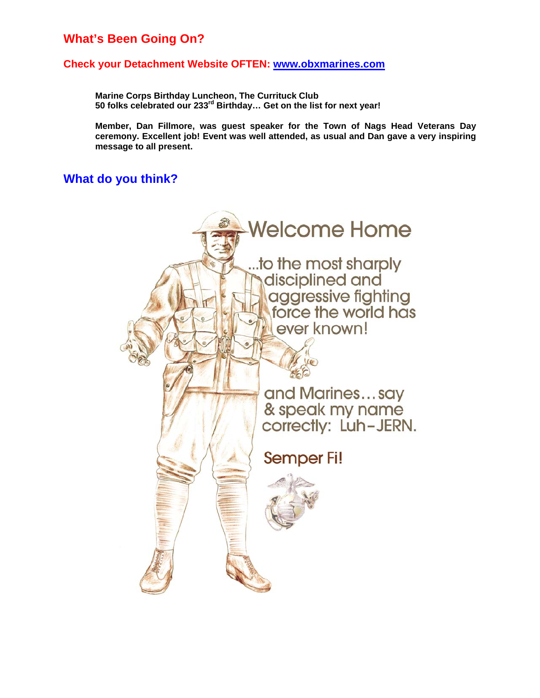### **What's Been Going On?**

#### **Check your Detachment Website OFTEN: [www.obxmarines.com](http://www.obxmarines.com/)**

**Marine Corps Birthday Luncheon, The Currituck Club 50 folks celebrated our 233rd Birthday… Get on the list for next year!** 

**Member, Dan Fillmore, was guest speaker for the Town of Nags Head Veterans Day ceremony. Excellent job! Event was well attended, as usual and Dan gave a very inspiring message to all present.** 

### **What do you think?**

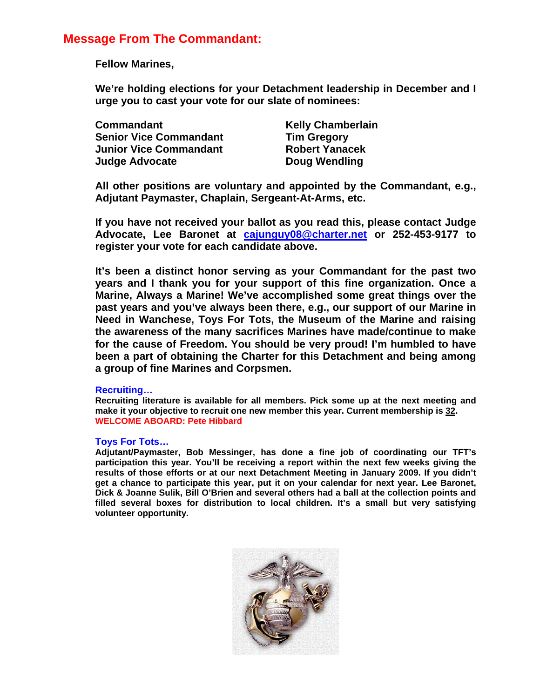### **Message From The Commandant:**

**Fellow Marines,** 

**We're holding elections for your Detachment leadership in December and I urge you to cast your vote for our slate of nominees:** 

| <b>Commandant</b>             |
|-------------------------------|
| <b>Senior Vice Commandant</b> |
| <b>Junior Vice Commandant</b> |
| <b>Judge Advocate</b>         |

**Kelly Chamberlain Tim Gregory Robert Yanacek Doug Wendling** 

**All other positions are voluntary and appointed by the Commandant, e.g., Adjutant Paymaster, Chaplain, Sergeant-At-Arms, etc.** 

**If you have not received your ballot as you read this, please contact Judge Advocate, Lee Baronet at [cajunguy08@charter.net](mailto:cajunguy08@charter.net) or 252-453-9177 to register your vote for each candidate above.** 

**It's been a distinct honor serving as your Commandant for the past two years and I thank you for your support of this fine organization. Once a Marine, Always a Marine! We've accomplished some great things over the past years and you've always been there, e.g., our support of our Marine in Need in Wanchese, Toys For Tots, the Museum of the Marine and raising the awareness of the many sacrifices Marines have made/continue to make for the cause of Freedom. You should be very proud! I'm humbled to have been a part of obtaining the Charter for this Detachment and being among a group of fine Marines and Corpsmen.** 

#### **Recruiting…**

**Recruiting literature is available for all members. Pick some up at the next meeting and make it your objective to recruit one new member this year. Current membership is 32. WELCOME ABOARD: Pete Hibbard** 

#### **Toys For Tots…**

**Adjutant/Paymaster, Bob Messinger, has done a fine job of coordinating our TFT's participation this year. You'll be receiving a report within the next few weeks giving the results of those efforts or at our next Detachment Meeting in January 2009. If you didn't get a chance to participate this year, put it on your calendar for next year. Lee Baronet, Dick & Joanne Sulik, Bill O'Brien and several others had a ball at the collection points and filled several boxes for distribution to local children. It's a small but very satisfying volunteer opportunity.**